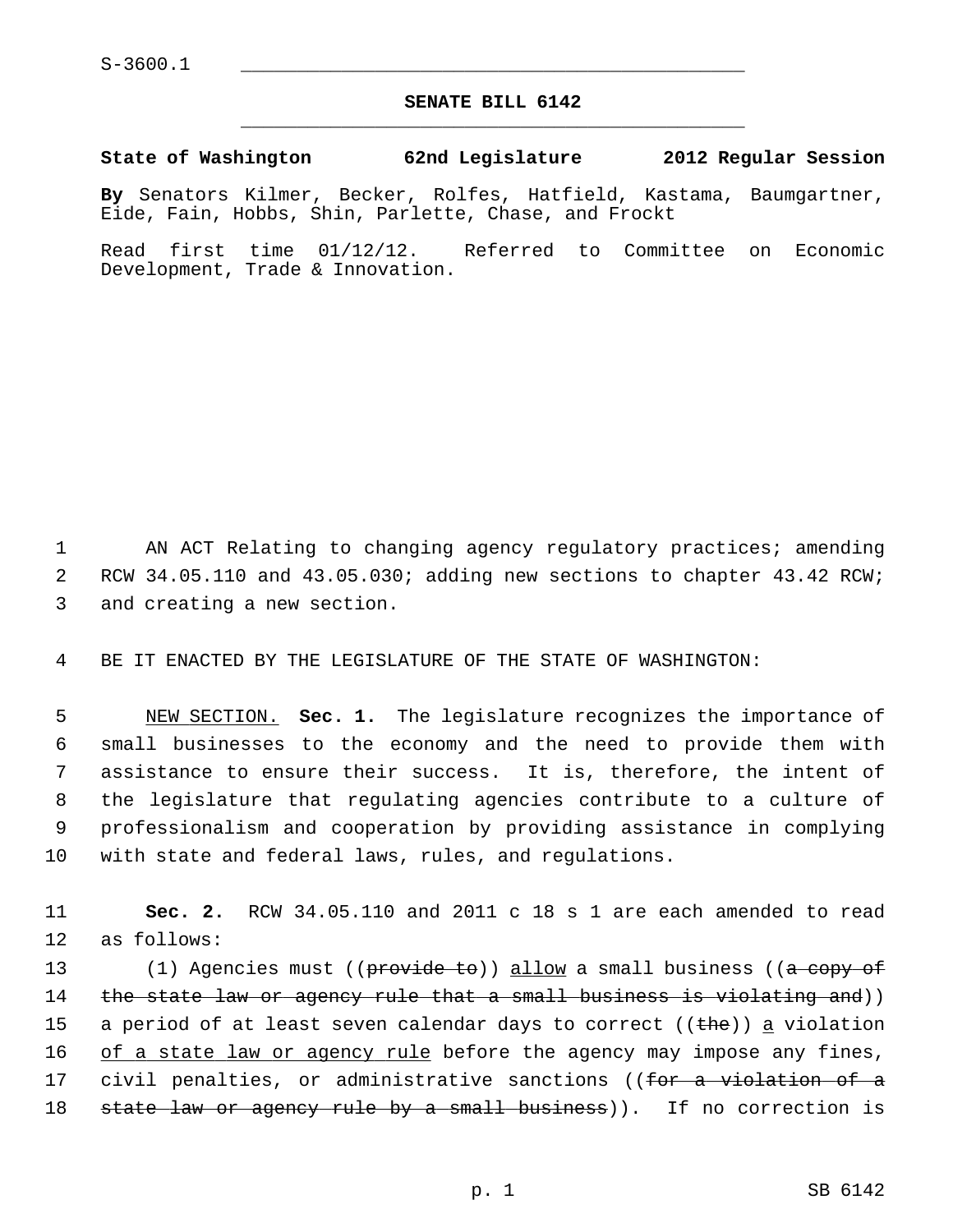$S-3600.1$ 

## **SENATE BILL 6142** \_\_\_\_\_\_\_\_\_\_\_\_\_\_\_\_\_\_\_\_\_\_\_\_\_\_\_\_\_\_\_\_\_\_\_\_\_\_\_\_\_\_\_\_\_

## **State of Washington 62nd Legislature 2012 Regular Session**

**By** Senators Kilmer, Becker, Rolfes, Hatfield, Kastama, Baumgartner, Eide, Fain, Hobbs, Shin, Parlette, Chase, and Frockt

Read first time 01/12/12. Referred to Committee on Economic Development, Trade & Innovation.

 1 AN ACT Relating to changing agency regulatory practices; amending 2 RCW 34.05.110 and 43.05.030; adding new sections to chapter 43.42 RCW; 3 and creating a new section.

4 BE IT ENACTED BY THE LEGISLATURE OF THE STATE OF WASHINGTON:

 5 NEW SECTION. **Sec. 1.** The legislature recognizes the importance of 6 small businesses to the economy and the need to provide them with 7 assistance to ensure their success. It is, therefore, the intent of 8 the legislature that regulating agencies contribute to a culture of 9 professionalism and cooperation by providing assistance in complying 10 with state and federal laws, rules, and regulations.

11 **Sec. 2.** RCW 34.05.110 and 2011 c 18 s 1 are each amended to read 12 as follows:

13 (1) Agencies must ((provide to)) allow a small business ((a copy of 14 the state law or agency rule that a small business is violating and)) 15 a period of at least seven calendar days to correct ( $(\text{the})$ ) a violation 16 of a state law or agency rule before the agency may impose any fines, 17 civil penalties, or administrative sanctions ((for a violation of a 18 state law or agency rule by a small business)). If no correction is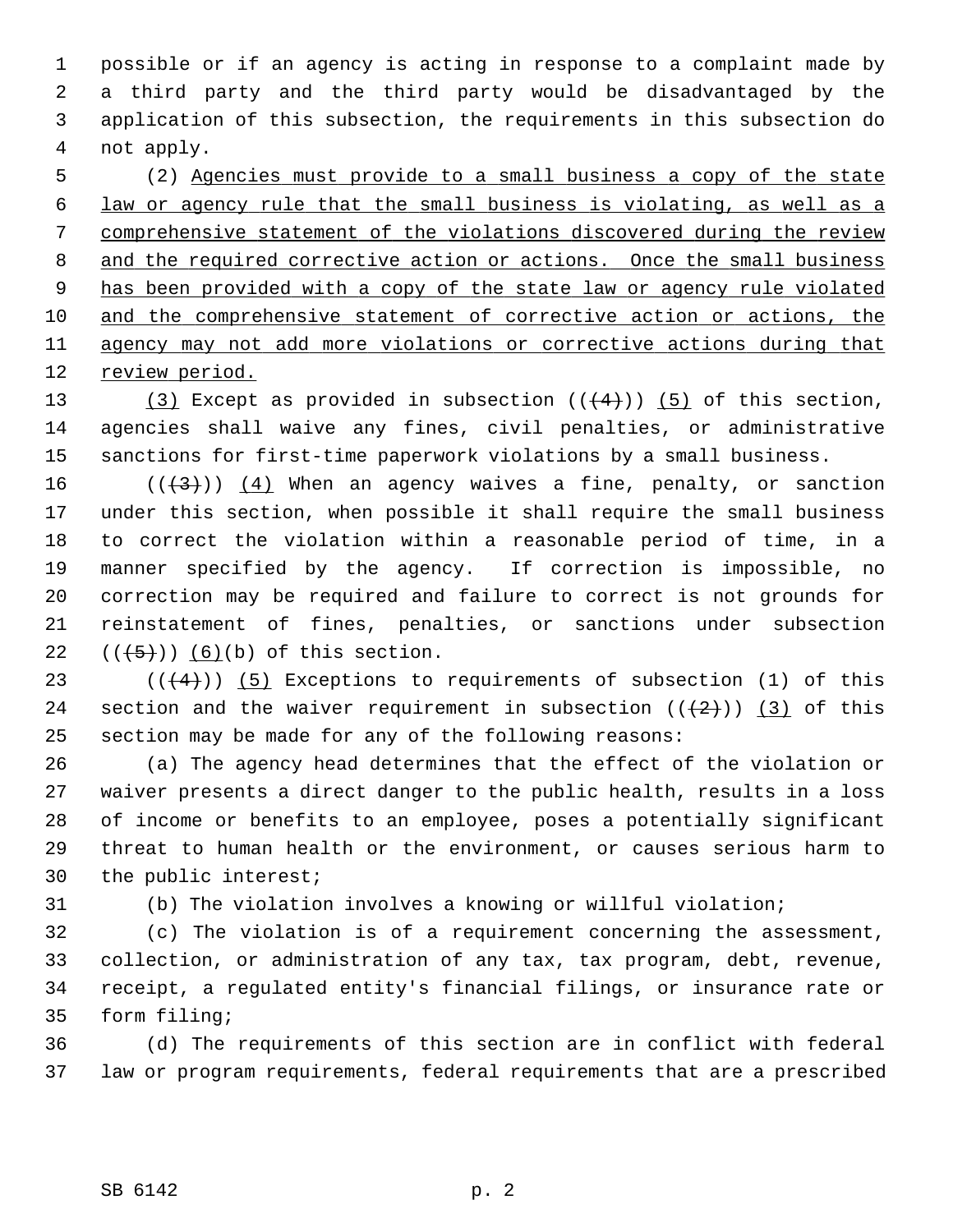1 possible or if an agency is acting in response to a complaint made by 2 a third party and the third party would be disadvantaged by the 3 application of this subsection, the requirements in this subsection do 4 not apply.

 5 (2) Agencies must provide to a small business a copy of the state law or agency rule that the small business is violating, as well as a comprehensive statement of the violations discovered during the review and the required corrective action or actions. Once the small business has been provided with a copy of the state law or agency rule violated and the comprehensive statement of corrective action or actions, the agency may not add more violations or corrective actions during that review period.

13 (3) Except as provided in subsection  $((+4))$  (5) of this section, 14 agencies shall waive any fines, civil penalties, or administrative 15 sanctions for first-time paperwork violations by a small business.

16  $((+3))$   $(4)$  When an agency waives a fine, penalty, or sanction 17 under this section, when possible it shall require the small business 18 to correct the violation within a reasonable period of time, in a 19 manner specified by the agency. If correction is impossible, no 20 correction may be required and failure to correct is not grounds for 21 reinstatement of fines, penalties, or sanctions under subsection 22  $((+5))$   $(6)(b)$  of this section.

23 ( $(\frac{4}{4})$ ) (5) Exceptions to requirements of subsection (1) of this 24 section and the waiver requirement in subsection  $((+2)^{n})$  (3) of this 25 section may be made for any of the following reasons:

26 (a) The agency head determines that the effect of the violation or 27 waiver presents a direct danger to the public health, results in a loss 28 of income or benefits to an employee, poses a potentially significant 29 threat to human health or the environment, or causes serious harm to 30 the public interest;

31 (b) The violation involves a knowing or willful violation;

32 (c) The violation is of a requirement concerning the assessment, 33 collection, or administration of any tax, tax program, debt, revenue, 34 receipt, a regulated entity's financial filings, or insurance rate or 35 form filing;

36 (d) The requirements of this section are in conflict with federal 37 law or program requirements, federal requirements that are a prescribed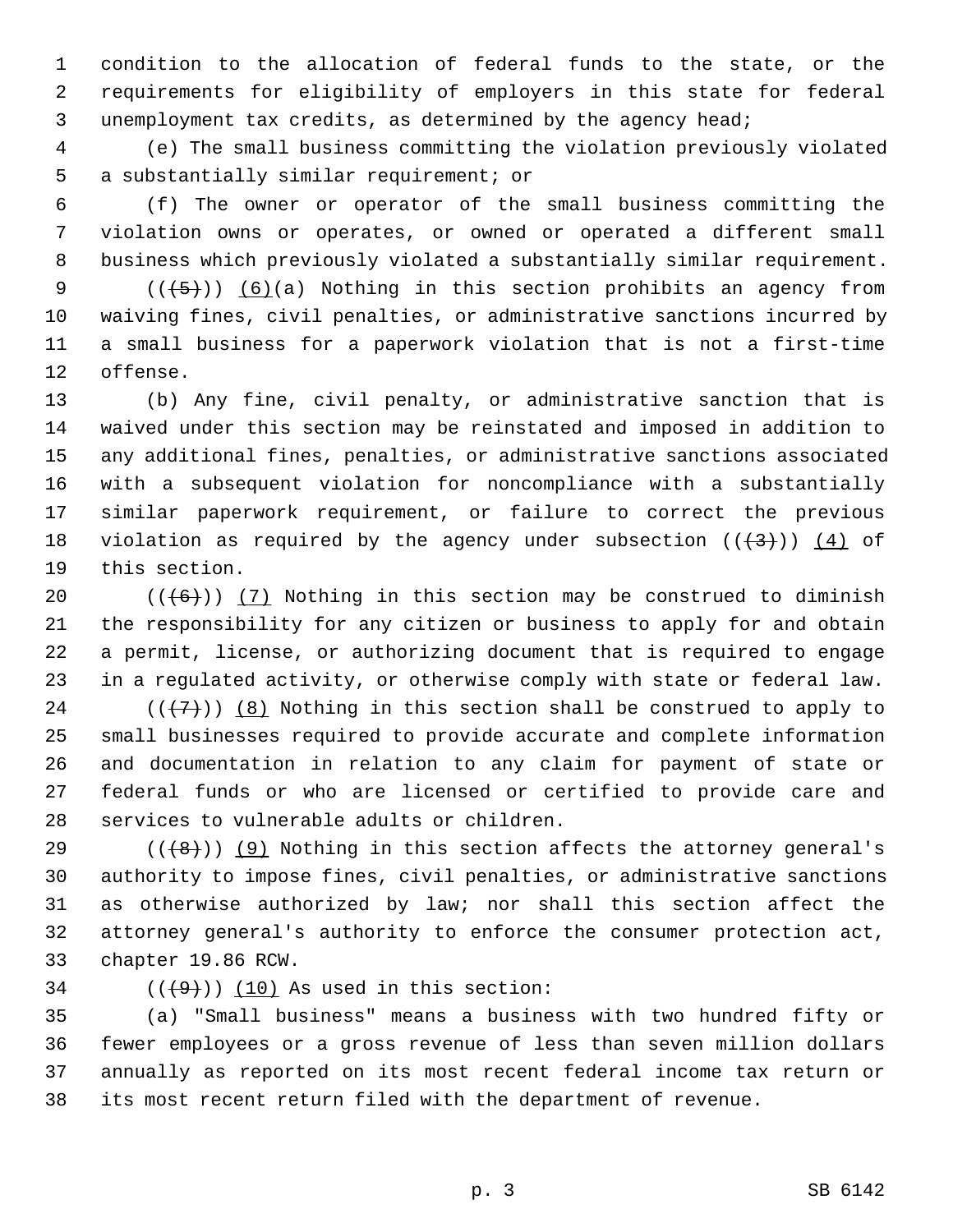1 condition to the allocation of federal funds to the state, or the 2 requirements for eligibility of employers in this state for federal 3 unemployment tax credits, as determined by the agency head;

 4 (e) The small business committing the violation previously violated 5 a substantially similar requirement; or

 6 (f) The owner or operator of the small business committing the 7 violation owns or operates, or owned or operated a different small 8 business which previously violated a substantially similar requirement.

9  $((+5))$   $(6)(a)$  Nothing in this section prohibits an agency from 10 waiving fines, civil penalties, or administrative sanctions incurred by 11 a small business for a paperwork violation that is not a first-time 12 offense.

13 (b) Any fine, civil penalty, or administrative sanction that is 14 waived under this section may be reinstated and imposed in addition to 15 any additional fines, penalties, or administrative sanctions associated 16 with a subsequent violation for noncompliance with a substantially 17 similar paperwork requirement, or failure to correct the previous 18 violation as required by the agency under subsection  $((+3))$  (4) of 19 this section.

20  $((+6))$  (7) Nothing in this section may be construed to diminish 21 the responsibility for any citizen or business to apply for and obtain 22 a permit, license, or authorizing document that is required to engage 23 in a regulated activity, or otherwise comply with state or federal law.

24 ( $(\overline{\langle 7 \rangle})$ ) (8) Nothing in this section shall be construed to apply to 25 small businesses required to provide accurate and complete information 26 and documentation in relation to any claim for payment of state or 27 federal funds or who are licensed or certified to provide care and 28 services to vulnerable adults or children.

29  $((\lbrace 8 \rbrace))$  (9) Nothing in this section affects the attorney general's 30 authority to impose fines, civil penalties, or administrative sanctions 31 as otherwise authorized by law; nor shall this section affect the 32 attorney general's authority to enforce the consumer protection act, 33 chapter 19.86 RCW.

34  $((+9))$   $(10)$  As used in this section:

35 (a) "Small business" means a business with two hundred fifty or 36 fewer employees or a gross revenue of less than seven million dollars 37 annually as reported on its most recent federal income tax return or 38 its most recent return filed with the department of revenue.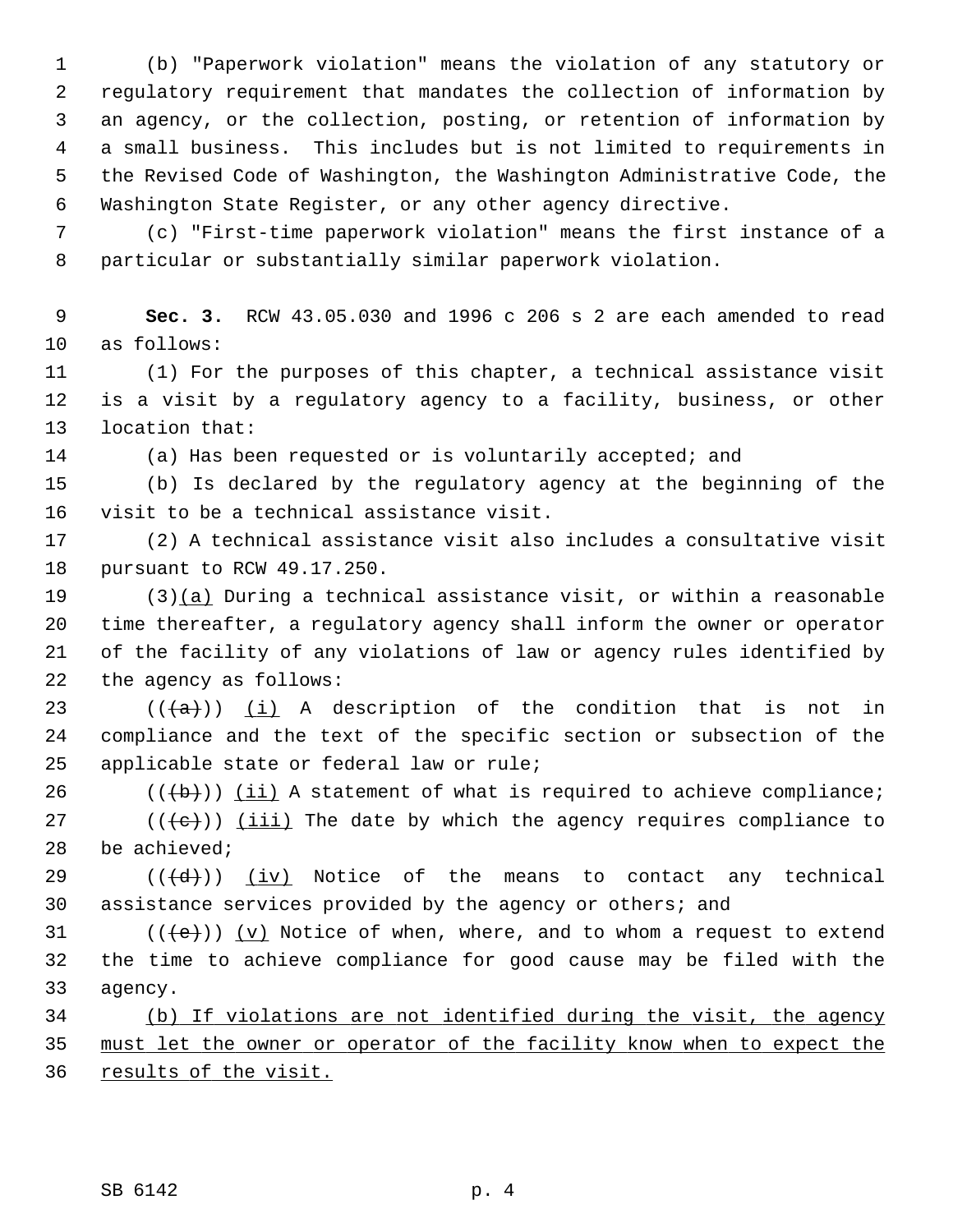1 (b) "Paperwork violation" means the violation of any statutory or 2 regulatory requirement that mandates the collection of information by 3 an agency, or the collection, posting, or retention of information by 4 a small business. This includes but is not limited to requirements in 5 the Revised Code of Washington, the Washington Administrative Code, the 6 Washington State Register, or any other agency directive.

 7 (c) "First-time paperwork violation" means the first instance of a 8 particular or substantially similar paperwork violation.

 9 **Sec. 3.** RCW 43.05.030 and 1996 c 206 s 2 are each amended to read 10 as follows:

11 (1) For the purposes of this chapter, a technical assistance visit 12 is a visit by a regulatory agency to a facility, business, or other 13 location that:

14 (a) Has been requested or is voluntarily accepted; and

15 (b) Is declared by the regulatory agency at the beginning of the 16 visit to be a technical assistance visit.

17 (2) A technical assistance visit also includes a consultative visit 18 pursuant to RCW 49.17.250.

19 (3)(a) During a technical assistance visit, or within a reasonable 20 time thereafter, a regulatory agency shall inform the owner or operator 21 of the facility of any violations of law or agency rules identified by 22 the agency as follows:

23 ( $(\overline{\{a\}})$ ) (i) A description of the condition that is not in 24 compliance and the text of the specific section or subsection of the 25 applicable state or federal law or rule;

 $26$  (( $\left(\frac{b}{b}\right)$ ) (ii) A statement of what is required to achieve compliance;

27  $((\{e\})$  ( $(iii)$ ) The date by which the agency requires compliance to 28 be achieved;

29  $((\overline{d}))$   $(iv)$  Notice of the means to contact any technical 30 assistance services provided by the agency or others; and

31  $((\{e\}))(y)$  Notice of when, where, and to whom a request to extend 32 the time to achieve compliance for good cause may be filed with the 33 agency.

34 (b) If violations are not identified during the visit, the agency 35 must let the owner or operator of the facility know when to expect the 36 results of the visit.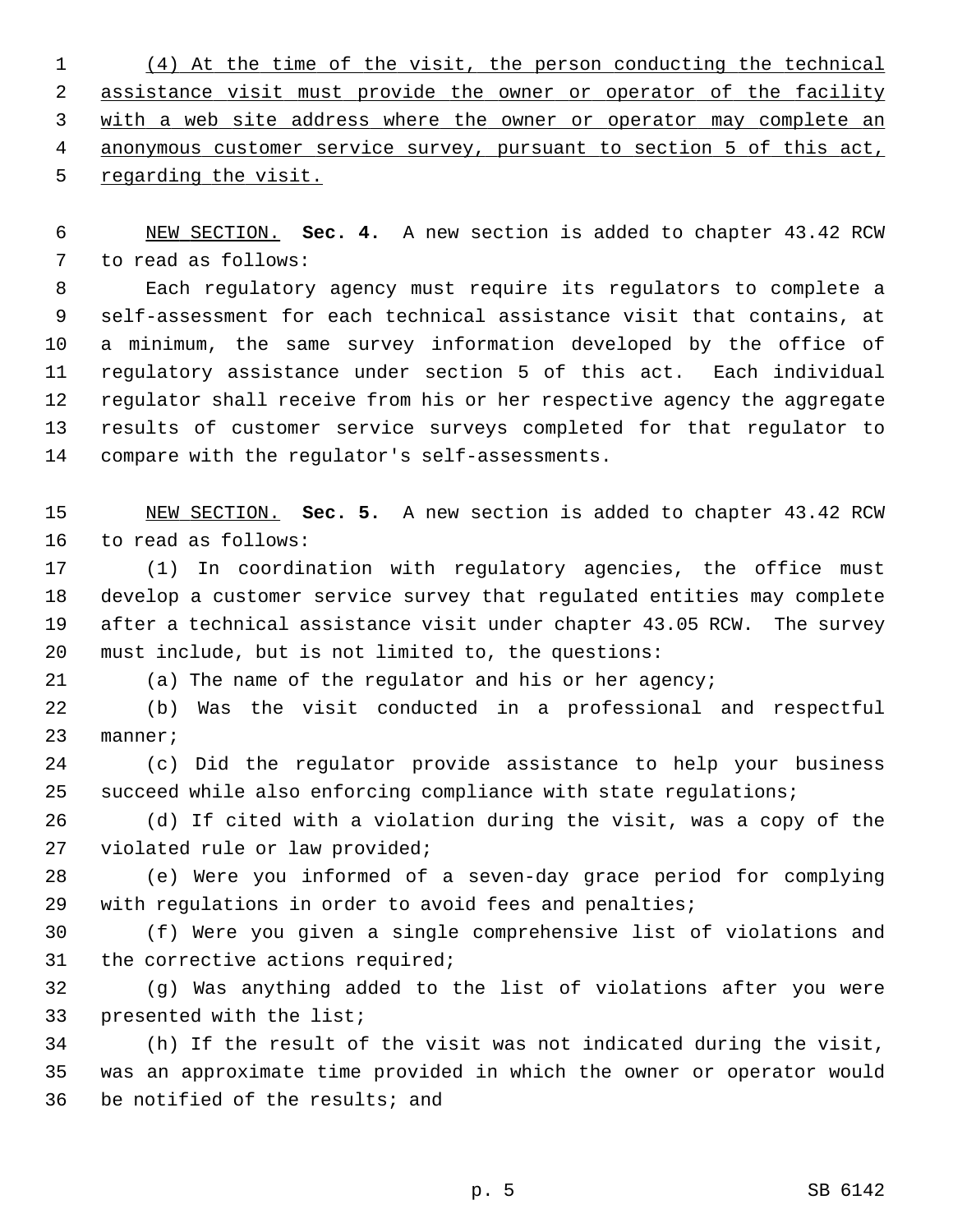(4) At the time of the visit, the person conducting the technical assistance visit must provide the owner or operator of the facility with a web site address where the owner or operator may complete an anonymous customer service survey, pursuant to section 5 of this act, 5 regarding the visit.

 6 NEW SECTION. **Sec. 4.** A new section is added to chapter 43.42 RCW 7 to read as follows:

 8 Each regulatory agency must require its regulators to complete a 9 self-assessment for each technical assistance visit that contains, at 10 a minimum, the same survey information developed by the office of 11 regulatory assistance under section 5 of this act. Each individual 12 regulator shall receive from his or her respective agency the aggregate 13 results of customer service surveys completed for that regulator to 14 compare with the regulator's self-assessments.

15 NEW SECTION. **Sec. 5.** A new section is added to chapter 43.42 RCW 16 to read as follows:

17 (1) In coordination with regulatory agencies, the office must 18 develop a customer service survey that regulated entities may complete 19 after a technical assistance visit under chapter 43.05 RCW. The survey 20 must include, but is not limited to, the questions:

21 (a) The name of the regulator and his or her agency;

22 (b) Was the visit conducted in a professional and respectful 23 manner;

24 (c) Did the regulator provide assistance to help your business 25 succeed while also enforcing compliance with state regulations;

26 (d) If cited with a violation during the visit, was a copy of the 27 violated rule or law provided;

28 (e) Were you informed of a seven-day grace period for complying 29 with regulations in order to avoid fees and penalties;

30 (f) Were you given a single comprehensive list of violations and 31 the corrective actions required;

32 (g) Was anything added to the list of violations after you were 33 presented with the list;

34 (h) If the result of the visit was not indicated during the visit, 35 was an approximate time provided in which the owner or operator would 36 be notified of the results; and